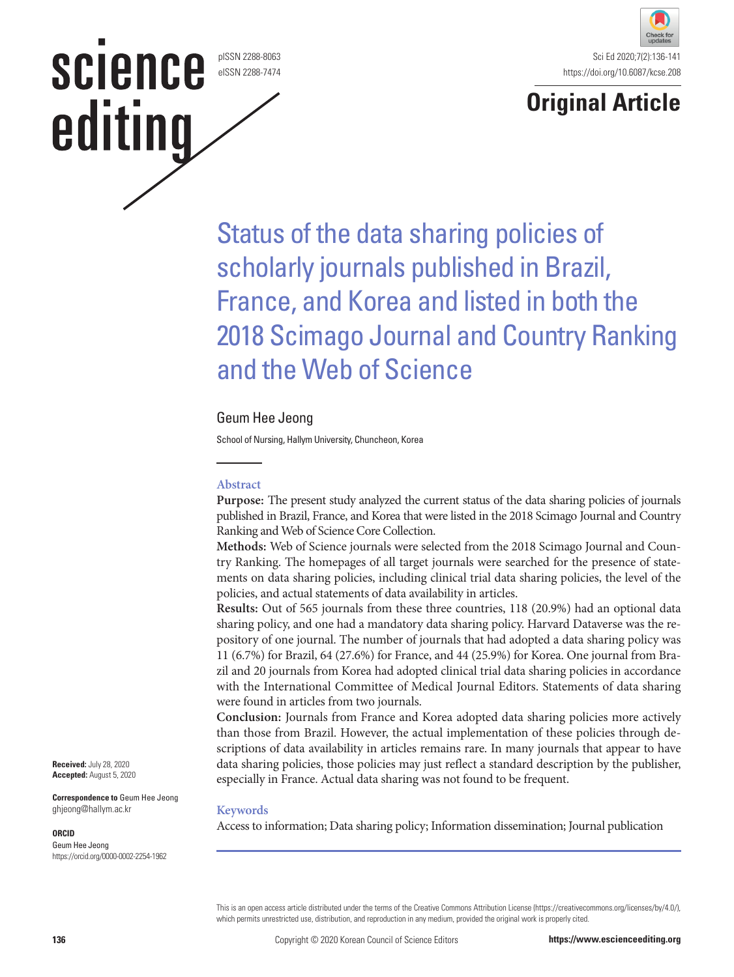pISSN 2288-8063 eISSN 2288-7474

**SCIENCE** 

editing



# **Original Article**

Status of the data sharing policies of scholarly journals published in Brazil, France, and Korea and listed in both the 2018 Scimago Journal and Country Ranking and the Web of Science

# Geum Hee Jeong

School of Nursing, Hallym University, Chuncheon, Korea

## **Abstract**

**Purpose:** The present study analyzed the current status of the data sharing policies of journals published in Brazil, France, and Korea that were listed in the 2018 Scimago Journal and Country Ranking and Web of Science Core Collection.

**Methods:** Web of Science journals were selected from the 2018 Scimago Journal and Country Ranking. The homepages of all target journals were searched for the presence of statements on data sharing policies, including clinical trial data sharing policies, the level of the policies, and actual statements of data availability in articles.

**Results:** Out of 565 journals from these three countries, 118 (20.9%) had an optional data sharing policy, and one had a mandatory data sharing policy. Harvard Dataverse was the repository of one journal. The number of journals that had adopted a data sharing policy was 11 (6.7%) for Brazil, 64 (27.6%) for France, and 44 (25.9%) for Korea. One journal from Brazil and 20 journals from Korea had adopted clinical trial data sharing policies in accordance with the International Committee of Medical Journal Editors. Statements of data sharing were found in articles from two journals.

**Conclusion:** Journals from France and Korea adopted data sharing policies more actively than those from Brazil. However, the actual implementation of these policies through descriptions of data availability in articles remains rare. In many journals that appear to have data sharing policies, those policies may just reflect a standard description by the publisher, especially in France. Actual data sharing was not found to be frequent.

#### **Keywords**

Access to information; Data sharing policy; Information dissemination; Journal publication

**Received:** July 28, 2020 **Accepted:** August 5, 2020

**Correspondence to** Geum Hee Jeong ghjeong@hallym.ac.kr

#### **ORCID**

Geum Hee Jeong https://orcid.org/0000-0002-2254-1962

> This is an open access article distributed under the terms of the Creative Commons Attribution License (https://creativecommons.org/licenses/by/4.0/), which permits unrestricted use, distribution, and reproduction in any medium, provided the original work is properly cited.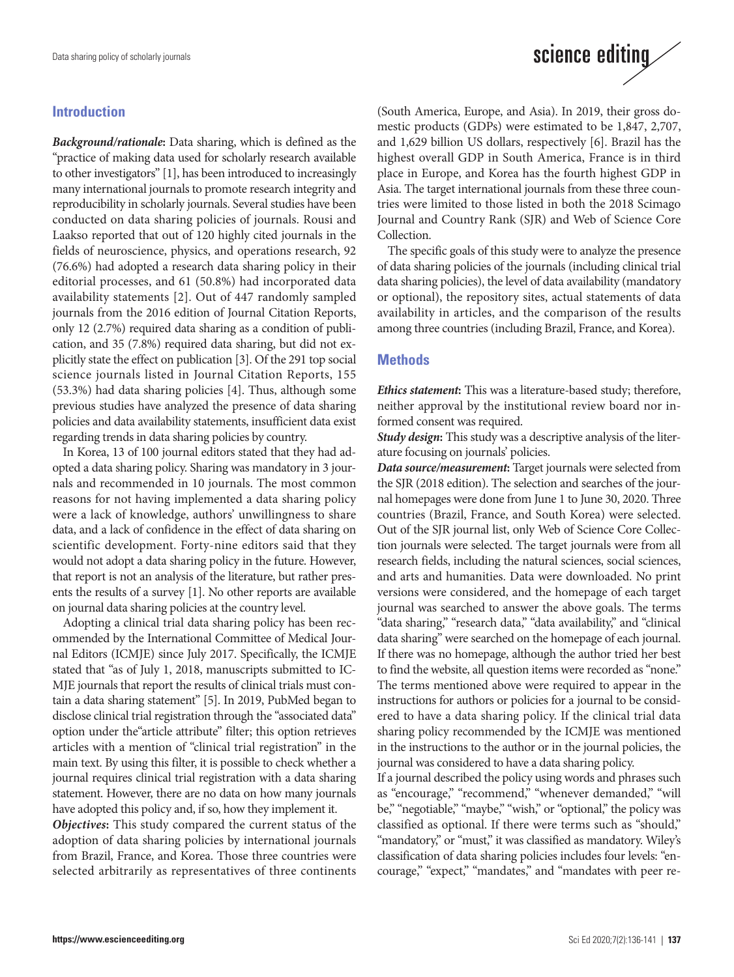# **Introduction**

*Background/rationale***:** Data sharing, which is defined as the "practice of making data used for scholarly research available to other investigators" [1], has been introduced to increasingly many international journals to promote research integrity and reproducibility in scholarly journals. Several studies have been conducted on data sharing policies of journals. Rousi and Laakso reported that out of 120 highly cited journals in the fields of neuroscience, physics, and operations research, 92 (76.6%) had adopted a research data sharing policy in their editorial processes, and 61 (50.8%) had incorporated data availability statements [2]. Out of 447 randomly sampled journals from the 2016 edition of Journal Citation Reports, only 12 (2.7%) required data sharing as a condition of publication, and 35 (7.8%) required data sharing, but did not explicitly state the effect on publication [3]. Of the 291 top social science journals listed in Journal Citation Reports, 155 (53.3%) had data sharing policies [4]. Thus, although some previous studies have analyzed the presence of data sharing policies and data availability statements, insufficient data exist regarding trends in data sharing policies by country.

In Korea, 13 of 100 journal editors stated that they had adopted a data sharing policy. Sharing was mandatory in 3 journals and recommended in 10 journals. The most common reasons for not having implemented a data sharing policy were a lack of knowledge, authors' unwillingness to share data, and a lack of confidence in the effect of data sharing on scientific development. Forty-nine editors said that they would not adopt a data sharing policy in the future. However, that report is not an analysis of the literature, but rather presents the results of a survey [1]. No other reports are available on journal data sharing policies at the country level.

Adopting a clinical trial data sharing policy has been recommended by the International Committee of Medical Journal Editors (ICMJE) since July 2017. Specifically, the ICMJE stated that "as of July 1, 2018, manuscripts submitted to IC-MJE journals that report the results of clinical trials must contain a data sharing statement" [5]. In 2019, PubMed began to disclose clinical trial registration through the "associated data" option under the"article attribute" filter; this option retrieves articles with a mention of "clinical trial registration" in the main text. By using this filter, it is possible to check whether a journal requires clinical trial registration with a data sharing statement. However, there are no data on how many journals have adopted this policy and, if so, how they implement it.

*Objectives***:** This study compared the current status of the adoption of data sharing policies by international journals from Brazil, France, and Korea. Those three countries were selected arbitrarily as representatives of three continents

# science editing

(South America, Europe, and Asia). In 2019, their gross domestic products (GDPs) were estimated to be 1,847, 2,707, and 1,629 billion US dollars, respectively [6]. Brazil has the highest overall GDP in South America, France is in third place in Europe, and Korea has the fourth highest GDP in Asia. The target international journals from these three countries were limited to those listed in both the 2018 Scimago Journal and Country Rank (SJR) and Web of Science Core Collection.

The specific goals of this study were to analyze the presence of data sharing policies of the journals (including clinical trial data sharing policies), the level of data availability (mandatory or optional), the repository sites, actual statements of data availability in articles, and the comparison of the results among three countries (including Brazil, France, and Korea).

# **Methods**

*Ethics statement***:** This was a literature-based study; therefore, neither approval by the institutional review board nor informed consent was required.

*Study design***:** This study was a descriptive analysis of the literature focusing on journals' policies.

*Data source/measurement***:** Target journals were selected from the SJR (2018 edition). The selection and searches of the journal homepages were done from June 1 to June 30, 2020. Three countries (Brazil, France, and South Korea) were selected. Out of the SJR journal list, only Web of Science Core Collection journals were selected. The target journals were from all research fields, including the natural sciences, social sciences, and arts and humanities. Data were downloaded. No print versions were considered, and the homepage of each target journal was searched to answer the above goals. The terms "data sharing," "research data," "data availability," and "clinical data sharing" were searched on the homepage of each journal. If there was no homepage, although the author tried her best to find the website, all question items were recorded as "none." The terms mentioned above were required to appear in the instructions for authors or policies for a journal to be considered to have a data sharing policy. If the clinical trial data sharing policy recommended by the ICMJE was mentioned in the instructions to the author or in the journal policies, the journal was considered to have a data sharing policy.

If a journal described the policy using words and phrases such as "encourage," "recommend," "whenever demanded," "will be," "negotiable," "maybe," "wish," or "optional," the policy was classified as optional. If there were terms such as "should," "mandatory," or "must," it was classified as mandatory. Wiley's classification of data sharing policies includes four levels: "encourage," "expect," "mandates," and "mandates with peer re-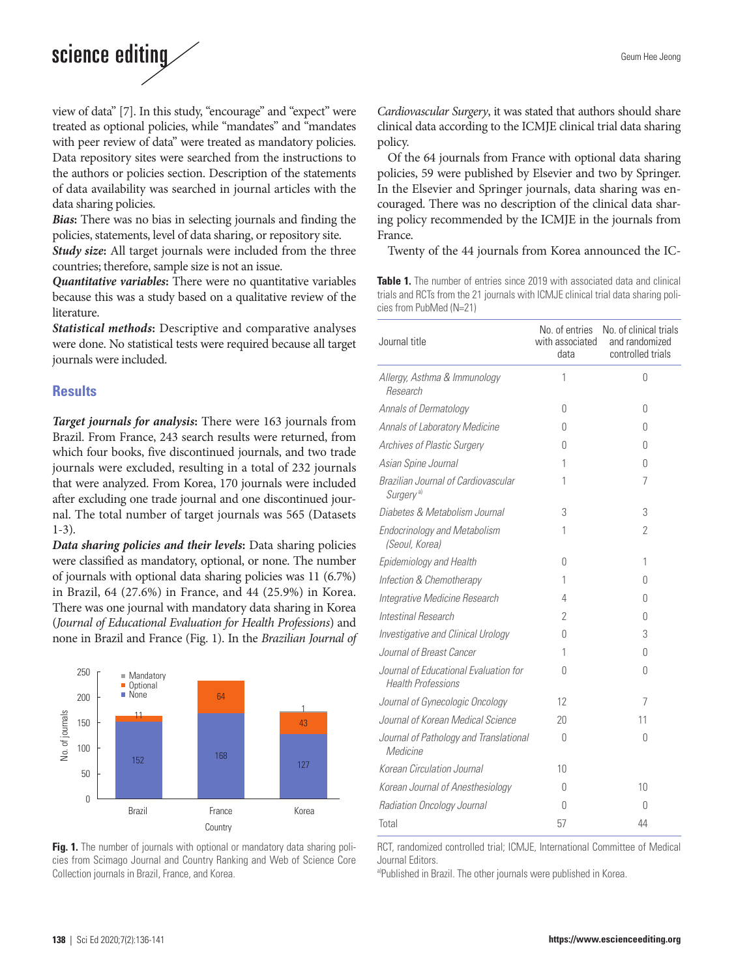# science editing

view of data" [7]. In this study, "encourage" and "expect" were treated as optional policies, while "mandates" and "mandates with peer review of data" were treated as mandatory policies. Data repository sites were searched from the instructions to the authors or policies section. Description of the statements of data availability was searched in journal articles with the data sharing policies.

*Bias***:** There was no bias in selecting journals and finding the policies, statements, level of data sharing, or repository site.

*Study size***:** All target journals were included from the three countries; therefore, sample size is not an issue.

*Quantitative variables***:** There were no quantitative variables because this was a study based on a qualitative review of the literature.

*Statistical methods***:** Descriptive and comparative analyses were done. No statistical tests were required because all target journals were included.

#### **Results**

*Target journals for analysis***:** There were 163 journals from Brazil. From France, 243 search results were returned, from which four books, five discontinued journals, and two trade journals were excluded, resulting in a total of 232 journals that were analyzed. From Korea, 170 journals were included after excluding one trade journal and one discontinued journal. The total number of target journals was 565 (Datasets 1-3).

*Data sharing policies and their levels***:** Data sharing policies were classified as mandatory, optional, or none. The number of journals with optional data sharing policies was 11 (6.7%) in Brazil, 64 (27.6%) in France, and 44 (25.9%) in Korea. There was one journal with mandatory data sharing in Korea (*Journal of Educational Evaluation for Health Professions*) and none in Brazil and France (Fig. 1). In the *Brazilian Journal of* 



**Fig. 1.** The number of journals with optional or mandatory data sharing policies from Scimago Journal and Country Ranking and Web of Science Core Collection journals in Brazil, France, and Korea.

*Cardiovascular Surgery*, it was stated that authors should share clinical data according to the ICMJE clinical trial data sharing policy.

Of the 64 journals from France with optional data sharing policies, 59 were published by Elsevier and two by Springer. In the Elsevier and Springer journals, data sharing was encouraged. There was no description of the clinical data sharing policy recommended by the ICMJE in the journals from France.

Twenty of the 44 journals from Korea announced the IC-

**Table 1.** The number of entries since 2019 with associated data and clinical trials and RCTs from the 21 journals with ICMJE clinical trial data sharing policies from PubMed (N=21)

| Journal title                                                      | No. of entries<br>with associated<br>data | No. of clinical trials<br>and randomized<br>controlled trials |
|--------------------------------------------------------------------|-------------------------------------------|---------------------------------------------------------------|
| Allergy, Asthma & Immunology<br>Research                           | 1                                         | 0                                                             |
| Annals of Dermatology                                              | 0                                         | 0                                                             |
| Annals of Laboratory Medicine                                      | O                                         | O                                                             |
| Archives of Plastic Surgery                                        | O                                         | O                                                             |
| Asian Spine Journal                                                | 1                                         | 0                                                             |
| Brazilian Journal of Cardiovascular<br>Surgery <sup>a)</sup>       | 1                                         | 7                                                             |
| Diabetes & Metabolism Journal                                      | 3                                         | 3                                                             |
| <b>Endocrinology and Metabolism</b><br>(Seoul, Korea)              | 1                                         | 2                                                             |
| Epidemiology and Health                                            | 0                                         | 1                                                             |
| Infection & Chemotherapy                                           | 1                                         | O                                                             |
| Integrative Medicine Research                                      | 4                                         | O                                                             |
| Intestinal Research                                                | $\overline{2}$                            | 0                                                             |
| Investigative and Clinical Urology                                 | 0                                         | 3                                                             |
| Journal of Breast Cancer                                           | 1                                         | 0                                                             |
| Journal of Educational Evaluation for<br><b>Health Professions</b> | O                                         | 0                                                             |
| Journal of Gynecologic Oncology                                    | 12                                        | 7                                                             |
| Journal of Korean Medical Science                                  | 20                                        | 11                                                            |
| Journal of Pathology and Translational<br>Medicine                 | O                                         | N                                                             |
| Korean Circulation Journal                                         | 10                                        |                                                               |
| Korean Journal of Anesthesiology                                   | O                                         | 10                                                            |
| Radiation Oncology Journal                                         | O                                         | $\cup$                                                        |
| Total                                                              | 57                                        | 44                                                            |

RCT, randomized controlled trial; ICMJE, International Committee of Medical Journal Editors.

a)Published in Brazil. The other journals were published in Korea.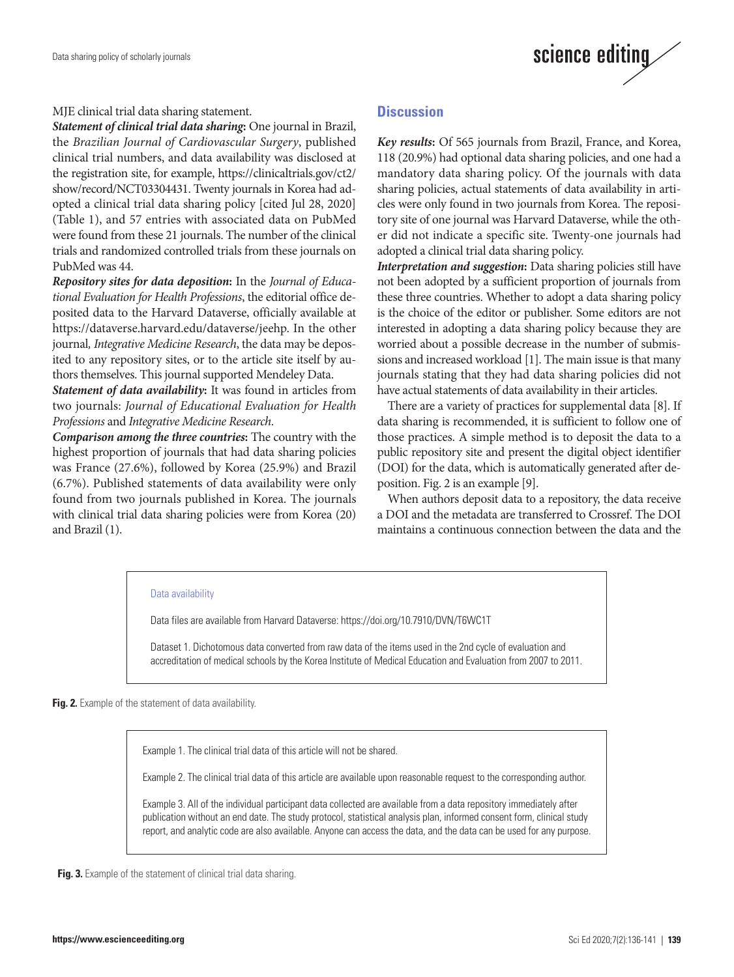

#### MJE clinical trial data sharing statement.

*Statement of clinical trial data sharing***:** One journal in Brazil, the *Brazilian Journal of Cardiovascular Surgery*, published clinical trial numbers, and data availability was disclosed at the registration site, for example, https://clinicaltrials.gov/ct2/ show/record/NCT03304431. Twenty journals in Korea had adopted a clinical trial data sharing policy [cited Jul 28, 2020] (Table 1), and 57 entries with associated data on PubMed were found from these 21 journals. The number of the clinical trials and randomized controlled trials from these journals on PubMed was 44.

*Repository sites for data deposition***:** In the *Journal of Educational Evaluation for Health Professions*, the editorial office deposited data to the Harvard Dataverse, officially available at https://dataverse.harvard.edu/dataverse/jeehp. In the other journal*, Integrative Medicine Research*, the data may be deposited to any repository sites, or to the article site itself by authors themselves. This journal supported Mendeley Data.

*Statement of data availability***:** It was found in articles from two journals: *Journal of Educational Evaluation for Health Professions* and *Integrative Medicine Research*.

*Comparison among the three countries***:** The country with the highest proportion of journals that had data sharing policies was France (27.6%), followed by Korea (25.9%) and Brazil (6.7%). Published statements of data availability were only found from two journals published in Korea. The journals with clinical trial data sharing policies were from Korea (20) and Brazil (1).

## **Discussion**

*Key results***:** Of 565 journals from Brazil, France, and Korea, 118 (20.9%) had optional data sharing policies, and one had a mandatory data sharing policy. Of the journals with data sharing policies, actual statements of data availability in articles were only found in two journals from Korea. The repository site of one journal was Harvard Dataverse, while the other did not indicate a specific site. Twenty-one journals had adopted a clinical trial data sharing policy.

*Interpretation and suggestion***:** Data sharing policies still have not been adopted by a sufficient proportion of journals from these three countries. Whether to adopt a data sharing policy is the choice of the editor or publisher. Some editors are not interested in adopting a data sharing policy because they are worried about a possible decrease in the number of submissions and increased workload [1]. The main issue is that many journals stating that they had data sharing policies did not have actual statements of data availability in their articles.

There are a variety of practices for supplemental data [8]. If data sharing is recommended, it is sufficient to follow one of those practices. A simple method is to deposit the data to a public repository site and present the digital object identifier (DOI) for the data, which is automatically generated after deposition. Fig. 2 is an example [9].

When authors deposit data to a repository, the data receive a DOI and the metadata are transferred to Crossref. The DOI maintains a continuous connection between the data and the

#### Data availability

Data files are available from Harvard Dataverse: https://doi.org/10.7910/DVN/T6WC1T

Dataset 1. Dichotomous data converted from raw data of the items used in the 2nd cycle of evaluation and accreditation of medical schools by the Korea Institute of Medical Education and Evaluation from 2007 to 2011.

**Fig. 2.** Example of the statement of data availability.

Example 1. The clinical trial data of this article will not be shared.

Example 2. The clinical trial data of this article are available upon reasonable request to the corresponding author.

Example 3. All of the individual participant data collected are available from a data repository immediately after publication without an end date. The study protocol, statistical analysis plan, informed consent form, clinical study report, and analytic code are also available. Anyone can access the data, and the data can be used for any purpose.

**Fig. 3.** Example of the statement of clinical trial data sharing.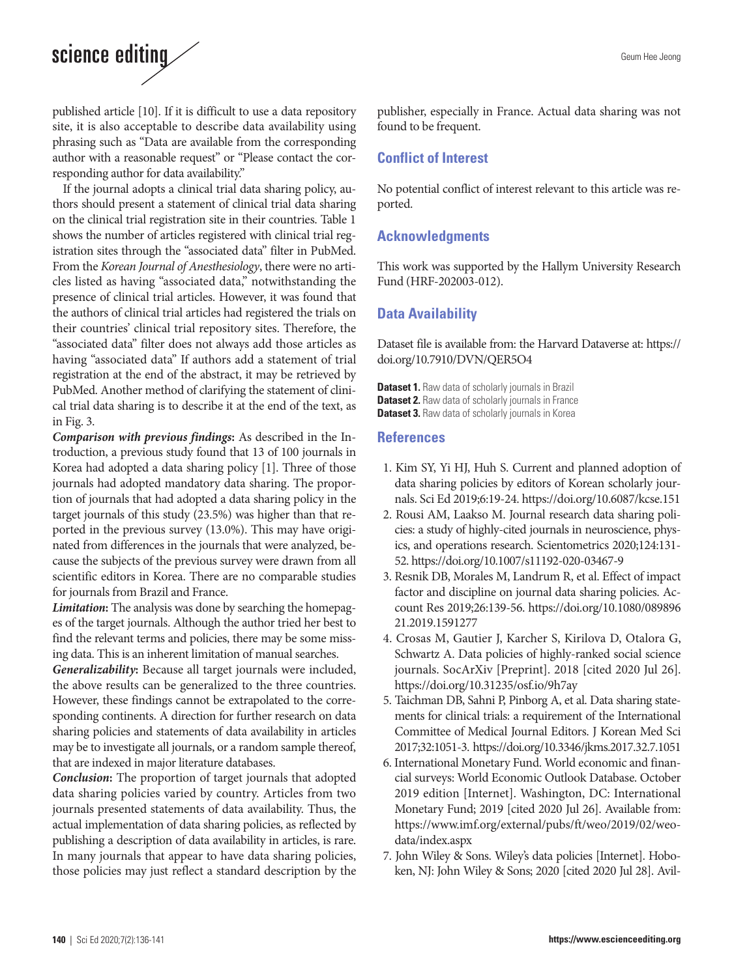# science editing

published article [10]. If it is difficult to use a data repository site, it is also acceptable to describe data availability using phrasing such as "Data are available from the corresponding author with a reasonable request" or "Please contact the corresponding author for data availability."

If the journal adopts a clinical trial data sharing policy, authors should present a statement of clinical trial data sharing on the clinical trial registration site in their countries. Table 1 shows the number of articles registered with clinical trial registration sites through the "associated data" filter in PubMed. From the *Korean Journal of Anesthesiology*, there were no articles listed as having "associated data," notwithstanding the presence of clinical trial articles. However, it was found that the authors of clinical trial articles had registered the trials on their countries' clinical trial repository sites. Therefore, the "associated data" filter does not always add those articles as having "associated data" If authors add a statement of trial registration at the end of the abstract, it may be retrieved by PubMed. Another method of clarifying the statement of clinical trial data sharing is to describe it at the end of the text, as in Fig. 3.

*Comparison with previous findings***:** As described in the Introduction, a previous study found that 13 of 100 journals in Korea had adopted a data sharing policy [1]. Three of those journals had adopted mandatory data sharing. The proportion of journals that had adopted a data sharing policy in the target journals of this study (23.5%) was higher than that reported in the previous survey (13.0%). This may have originated from differences in the journals that were analyzed, because the subjects of the previous survey were drawn from all scientific editors in Korea. There are no comparable studies for journals from Brazil and France.

*Limitation***:** The analysis was done by searching the homepages of the target journals. Although the author tried her best to find the relevant terms and policies, there may be some missing data. This is an inherent limitation of manual searches.

*Generalizability***:** Because all target journals were included, the above results can be generalized to the three countries. However, these findings cannot be extrapolated to the corresponding continents. A direction for further research on data sharing policies and statements of data availability in articles may be to investigate all journals, or a random sample thereof, that are indexed in major literature databases.

*Conclusion***:** The proportion of target journals that adopted data sharing policies varied by country. Articles from two journals presented statements of data availability. Thus, the actual implementation of data sharing policies, as reflected by publishing a description of data availability in articles, is rare. In many journals that appear to have data sharing policies, those policies may just reflect a standard description by the

publisher, especially in France. Actual data sharing was not found to be frequent.

# **Conflict of Interest**

No potential conflict of interest relevant to this article was reported.

# **Acknowledgments**

This work was supported by the Hallym University Research Fund (HRF-202003-012).

# **Data Availability**

Dataset file is available from: the Harvard Dataverse at: [https://](https://doi.org/10.7910/DVN/QER5O4) [doi.org/10.7910/DVN/QER5O4](https://doi.org/10.7910/DVN/QER5O4)

**Dataset 1.** Raw data of scholarly journals in Brazil **Dataset 2.** Raw data of scholarly journals in France **Dataset 3.** Raw data of scholarly journals in Korea

## **References**

- 1. Kim SY, Yi HJ, Huh S. Current and planned adoption of data sharing policies by editors of Korean scholarly journals. Sci Ed 2019;6:19-24. https://doi.org/10.6087/kcse.151
- 2. Rousi AM, Laakso M. Journal research data sharing policies: a study of highly-cited journals in neuroscience, physics, and operations research. Scientometrics 2020;124:131- 52. https://doi.org/10.1007/s11192-020-03467-9
- 3. Resnik DB, Morales M, Landrum R, et al. Effect of impact factor and discipline on journal data sharing policies. Account Res 2019;26:139-56. https://doi.org/10.1080/089896 21.2019.1591277
- 4. Crosas M, Gautier J, Karcher S, Kirilova D, Otalora G, Schwartz A. Data policies of highly-ranked social science journals. SocArXiv [Preprint]. 2018 [cited 2020 Jul 26]. https://doi.org/10.31235/osf.io/9h7ay
- 5. Taichman DB, Sahni P, Pinborg A, et al. Data sharing statements for clinical trials: a requirement of the International Committee of Medical Journal Editors. J Korean Med Sci 2017;32:1051-3. https://doi.org/10.3346/jkms.2017.32.7.1051
- 6. International Monetary Fund. World economic and financial surveys: World Economic Outlook Database. October 2019 edition [Internet]. Washington, DC: International Monetary Fund; 2019 [cited 2020 Jul 26]. Available from: [https://www.imf.org/external/pubs/ft/weo/2019/02/weo](https://www.imf.org/external/pubs/ft/weo/2019/02/weodata/index.aspx)[data/index.aspx](https://www.imf.org/external/pubs/ft/weo/2019/02/weodata/index.aspx)
- 7. John Wiley & Sons. Wiley's data policies [Internet]. Hoboken, NJ: John Wiley & Sons; 2020 [cited 2020 Jul 28]. Avil-